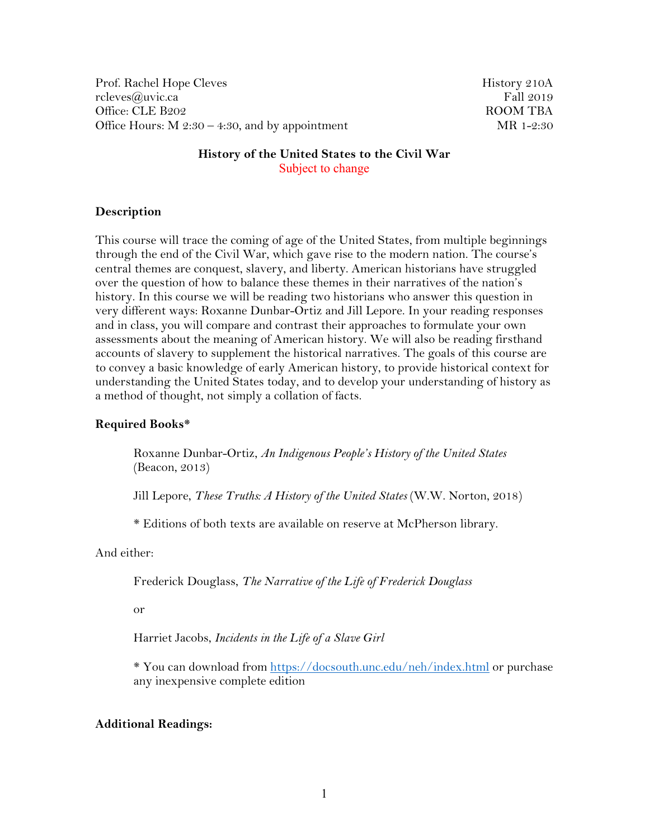Prof. Rachel Hope Cleves **History 210A** rcleves@uvic.ca Fall 2019 Office: CLE B202 ROOM TBA Office Hours:  $M$  2:30 – 4:30, and by appointment MR 1-2:30

## **History of the United States to the Civil War** Subject to change

### **Description**

This course will trace the coming of age of the United States, from multiple beginnings through the end of the Civil War, which gave rise to the modern nation. The course's central themes are conquest, slavery, and liberty. American historians have struggled over the question of how to balance these themes in their narratives of the nation's history. In this course we will be reading two historians who answer this question in very different ways: Roxanne Dunbar-Ortiz and Jill Lepore. In your reading responses and in class, you will compare and contrast their approaches to formulate your own assessments about the meaning of American history. We will also be reading firsthand accounts of slavery to supplement the historical narratives. The goals of this course are to convey a basic knowledge of early American history, to provide historical context for understanding the United States today, and to develop your understanding of history as a method of thought, not simply a collation of facts.

#### **Required Books\***

Roxanne Dunbar-Ortiz, *An Indigenous People's History of the United States* (Beacon, 2013)

Jill Lepore, *These Truths: A History of the United States* (W.W. Norton, 2018)

\* Editions of both texts are available on reserve at McPherson library.

And either:

Frederick Douglass, *The Narrative of the Life of Frederick Douglass* 

or

Harriet Jacobs, *Incidents in the Life of a Slave Girl* 

\* You can download from<https://docsouth.unc.edu/neh/index.html> or purchase any inexpensive complete edition

### **Additional Readings:**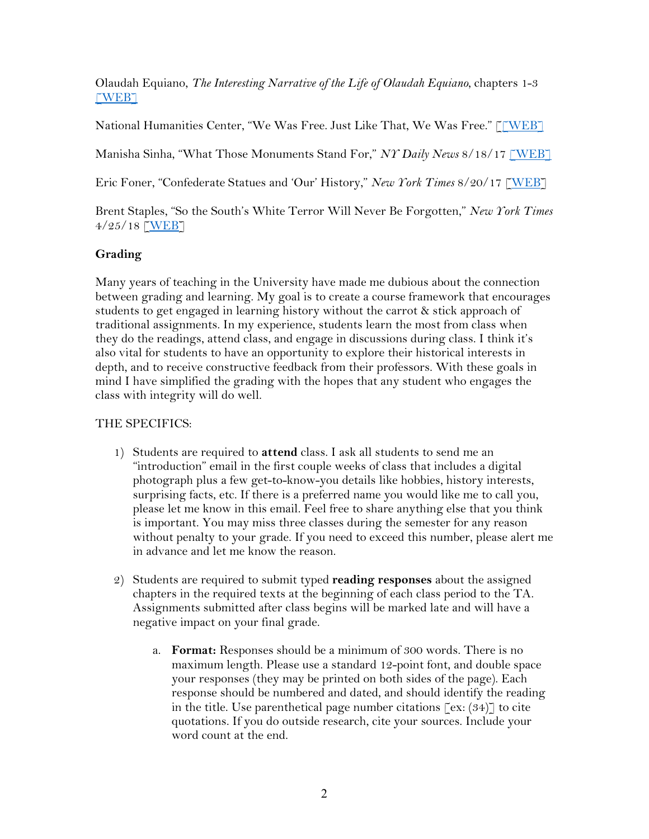Olaudah Equiano, *The Interesting Narrative of the Life of Olaudah Equiano*, chapters 1-3  $\ulcorner \text{WEB} \urcorner$ 

National Humanities Center, "We Was Free. Just Like That, We Was Free." [\[\[WEB\]](http://nationalhumanitiescenter.org/pds/maai/emancipation/text7/emancipationwpa.pdf)

Manisha Sinha, "What Those Monuments Stand For," *NY Daily News* 8/18/17 [\[WEB\]](https://www.nydailynews.com/opinion/monuments-stand-article-1.3423887)

Eric Foner, "Confederate Statues and 'Our' History," *New York Times* 8/20/17 [\[WEB\]](https://www.nytimes.com/2017/08/20/opinion/confederate-statues-american-history.html)

Brent Staples, "So the South's White Terror Will Never Be Forgotten," *New York Times* 4/25/18 [\[WEB\]](https://www.nytimes.com/2018/04/25/opinion/american-lynchings-memorial.html)

# **Grading**

Many years of teaching in the University have made me dubious about the connection between grading and learning. My goal is to create a course framework that encourages students to get engaged in learning history without the carrot & stick approach of traditional assignments. In my experience, students learn the most from class when they do the readings, attend class, and engage in discussions during class. I think it's also vital for students to have an opportunity to explore their historical interests in depth, and to receive constructive feedback from their professors. With these goals in mind I have simplified the grading with the hopes that any student who engages the class with integrity will do well.

# THE SPECIFICS:

- 1) Students are required to **attend** class. I ask all students to send me an "introduction" email in the first couple weeks of class that includes a digital photograph plus a few get-to-know-you details like hobbies, history interests, surprising facts, etc. If there is a preferred name you would like me to call you, please let me know in this email. Feel free to share anything else that you think is important. You may miss three classes during the semester for any reason without penalty to your grade. If you need to exceed this number, please alert me in advance and let me know the reason.
- 2) Students are required to submit typed **reading responses** about the assigned chapters in the required texts at the beginning of each class period to the TA. Assignments submitted after class begins will be marked late and will have a negative impact on your final grade.
	- a. **Format:** Responses should be a minimum of 300 words. There is no maximum length. Please use a standard 12-point font, and double space your responses (they may be printed on both sides of the page). Each response should be numbered and dated, and should identify the reading in the title. Use parenthetical page number citations  $\lceil \text{ex:} (34) \rceil$  to cite quotations. If you do outside research, cite your sources. Include your word count at the end.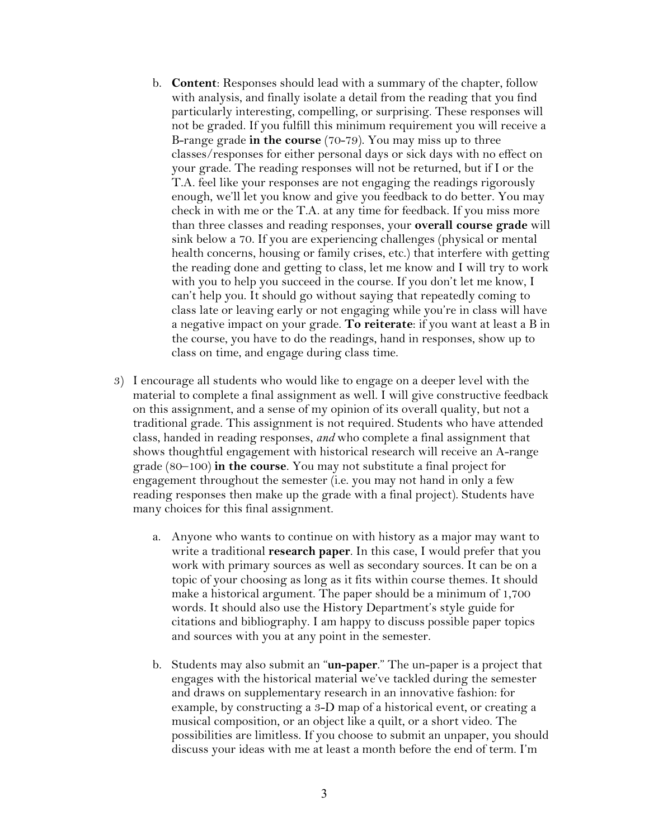- b. **Content**: Responses should lead with a summary of the chapter, follow with analysis, and finally isolate a detail from the reading that you find particularly interesting, compelling, or surprising. These responses will not be graded. If you fulfill this minimum requirement you will receive a B-range grade **in the course** (70-79). You may miss up to three classes/responses for either personal days or sick days with no effect on your grade. The reading responses will not be returned, but if I or the T.A. feel like your responses are not engaging the readings rigorously enough, we'll let you know and give you feedback to do better. You may check in with me or the T.A. at any time for feedback. If you miss more than three classes and reading responses, your **overall course grade** will sink below a 70. If you are experiencing challenges (physical or mental health concerns, housing or family crises, etc.) that interfere with getting the reading done and getting to class, let me know and I will try to work with you to help you succeed in the course. If you don't let me know, I can't help you. It should go without saying that repeatedly coming to class late or leaving early or not engaging while you're in class will have a negative impact on your grade. **To reiterate**: if you want at least a B in the course, you have to do the readings, hand in responses, show up to class on time, and engage during class time.
- 3) I encourage all students who would like to engage on a deeper level with the material to complete a final assignment as well. I will give constructive feedback on this assignment, and a sense of my opinion of its overall quality, but not a traditional grade. This assignment is not required. Students who have attended class, handed in reading responses, *and* who complete a final assignment that shows thoughtful engagement with historical research will receive an A-range grade (80–100) **in the course**. You may not substitute a final project for engagement throughout the semester (i.e. you may not hand in only a few reading responses then make up the grade with a final project). Students have many choices for this final assignment.
	- a. Anyone who wants to continue on with history as a major may want to write a traditional **research paper**. In this case, I would prefer that you work with primary sources as well as secondary sources. It can be on a topic of your choosing as long as it fits within course themes. It should make a historical argument. The paper should be a minimum of 1,700 words. It should also use the History Department's style guide for citations and bibliography. I am happy to discuss possible paper topics and sources with you at any point in the semester.
	- b. Students may also submit an "**un-paper**." The un-paper is a project that engages with the historical material we've tackled during the semester and draws on supplementary research in an innovative fashion: for example, by constructing a 3-D map of a historical event, or creating a musical composition, or an object like a quilt, or a short video. The possibilities are limitless. If you choose to submit an unpaper, you should discuss your ideas with me at least a month before the end of term. I'm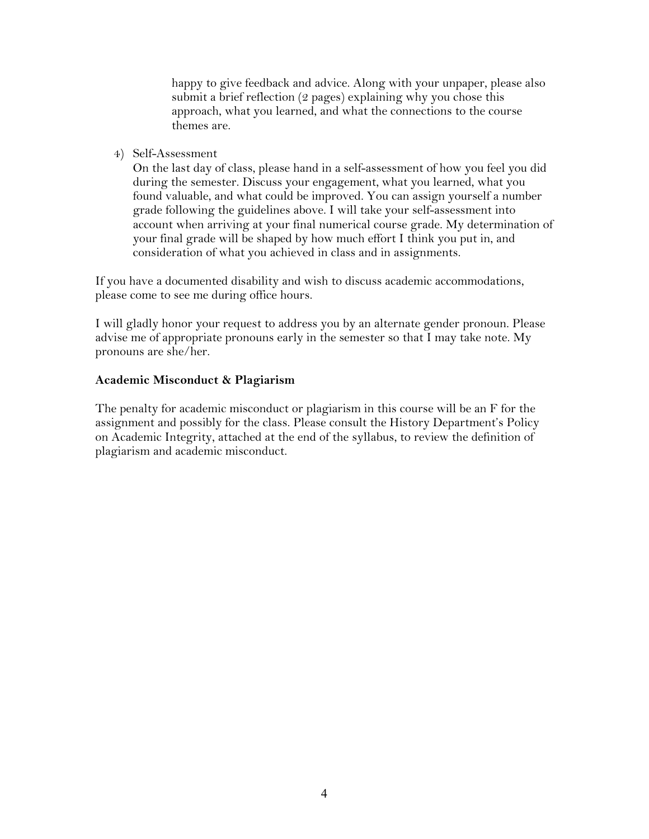happy to give feedback and advice. Along with your unpaper, please also submit a brief reflection (2 pages) explaining why you chose this approach, what you learned, and what the connections to the course themes are.

### 4) Self-Assessment

On the last day of class, please hand in a self-assessment of how you feel you did during the semester. Discuss your engagement, what you learned, what you found valuable, and what could be improved. You can assign yourself a number grade following the guidelines above. I will take your self-assessment into account when arriving at your final numerical course grade. My determination of your final grade will be shaped by how much effort I think you put in, and consideration of what you achieved in class and in assignments.

If you have a documented disability and wish to discuss academic accommodations, please come to see me during office hours.

I will gladly honor your request to address you by an alternate gender pronoun. Please advise me of appropriate pronouns early in the semester so that I may take note. My pronouns are she/her.

### **Academic Misconduct & Plagiarism**

The penalty for academic misconduct or plagiarism in this course will be an F for the assignment and possibly for the class. Please consult the History Department's Policy on Academic Integrity, attached at the end of the syllabus, to review the definition of plagiarism and academic misconduct.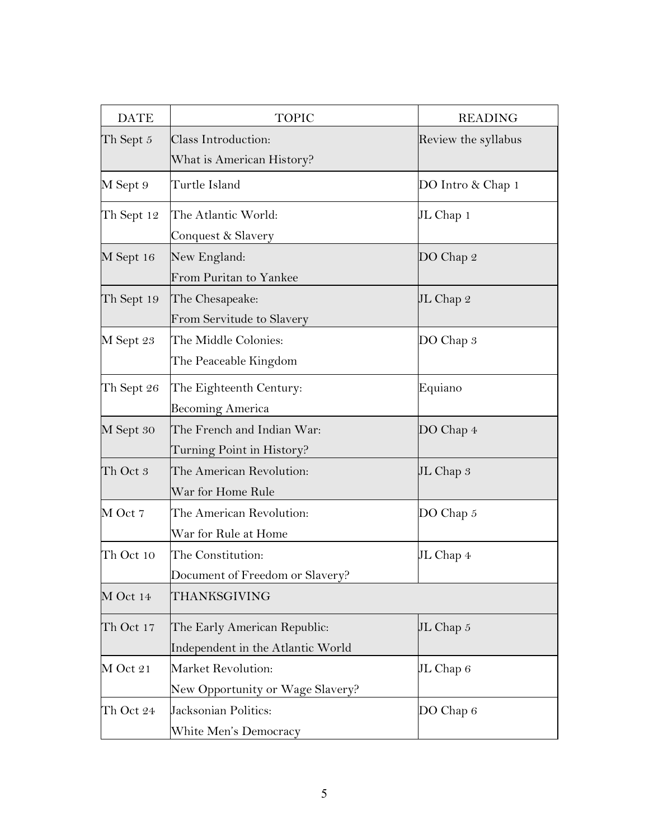| <b>DATE</b> | <b>TOPIC</b>                      | <b>READING</b>      |
|-------------|-----------------------------------|---------------------|
| Th Sept $5$ | Class Introduction:               | Review the syllabus |
|             | What is American History?         |                     |
| M Sept 9    | Turtle Island                     | DO Intro & Chap 1   |
| Th Sept 12  | The Atlantic World:               | JL Chap 1           |
|             | Conquest & Slavery                |                     |
| M Sept 16   | New England:                      | DO Chap 2           |
|             | From Puritan to Yankee            |                     |
| Th Sept 19  | The Chesapeake:                   | JL Chap 2           |
|             | From Servitude to Slavery         |                     |
| M Sept 23   | The Middle Colonies:              | DO Chap 3           |
|             | The Peaceable Kingdom             |                     |
| Th Sept 26  | The Eighteenth Century:           | Equiano             |
|             | <b>Becoming America</b>           |                     |
| M Sept 30   | The French and Indian War:        | DO Chap 4           |
|             | Turning Point in History?         |                     |
| Th Oct 3    | The American Revolution:          | JL Chap 3           |
|             | War for Home Rule                 |                     |
| M Oct 7     | The American Revolution:          | DO Chap 5           |
|             | War for Rule at Home              |                     |
| Th Oct 10   | The Constitution:                 | JL Chap 4           |
|             | Document of Freedom or Slavery?   |                     |
| M Oct 14    | THANKSGIVING                      |                     |
| Th Oct 17   | The Early American Republic:      | JL Chap $5$         |
|             | Independent in the Atlantic World |                     |
| M Oct 21    | Market Revolution:                | JL Chap $6$         |
|             | New Opportunity or Wage Slavery?  |                     |
| Th Oct 24   | Jacksonian Politics:              | DO Chap 6           |
|             | White Men's Democracy             |                     |